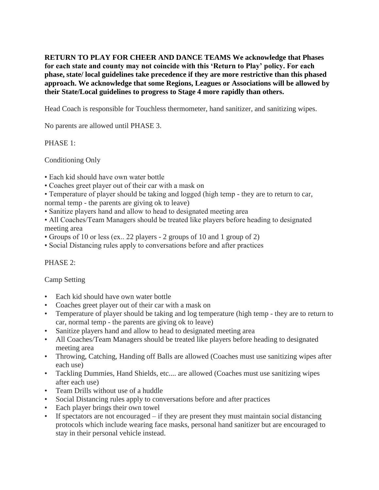**RETURN TO PLAY FOR CHEER AND DANCE TEAMS We acknowledge that Phases for each state and county may not coincide with this 'Return to Play' policy. For each phase, state/ local guidelines take precedence if they are more restrictive than this phased approach. We acknowledge that some Regions, Leagues or Associations will be allowed by their State/Local guidelines to progress to Stage 4 more rapidly than others.**

Head Coach is responsible for Touchless thermometer, hand sanitizer, and sanitizing wipes.

No parents are allowed until PHASE 3.

# PHASE 1:

Conditioning Only

- Each kid should have own water bottle
- Coaches greet player out of their car with a mask on
- Temperature of player should be taking and logged (high temp they are to return to car, normal temp - the parents are giving ok to leave)
- Sanitize players hand and allow to head to designated meeting area
- All Coaches/Team Managers should be treated like players before heading to designated meeting area
- Groups of 10 or less (ex.. 22 players 2 groups of 10 and 1 group of 2)
- Social Distancing rules apply to conversations before and after practices

# PHASE 2:

## Camp Setting

- Each kid should have own water bottle
- Coaches greet player out of their car with a mask on
- Temperature of player should be taking and log temperature (high temp they are to return to car, normal temp - the parents are giving ok to leave)
- Sanitize players hand and allow to head to designated meeting area
- All Coaches/Team Managers should be treated like players before heading to designated meeting area
- Throwing, Catching, Handing off Balls are allowed (Coaches must use sanitizing wipes after each use)
- Tackling Dummies, Hand Shields, etc.... are allowed (Coaches must use sanitizing wipes after each use)
- Team Drills without use of a huddle
- Social Distancing rules apply to conversations before and after practices
- Each player brings their own towel
- If spectators are not encouraged if they are present they must maintain social distancing protocols which include wearing face masks, personal hand sanitizer but are encouraged to stay in their personal vehicle instead.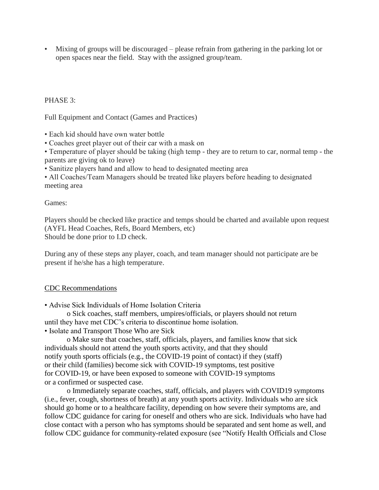• Mixing of groups will be discouraged – please refrain from gathering in the parking lot or open spaces near the field. Stay with the assigned group/team.

## PHASE 3:

Full Equipment and Contact (Games and Practices)

• Each kid should have own water bottle

• Coaches greet player out of their car with a mask on

• Temperature of player should be taking (high temp - they are to return to car, normal temp - the parents are giving ok to leave)

• Sanitize players hand and allow to head to designated meeting area

• All Coaches/Team Managers should be treated like players before heading to designated meeting area

### Games:

Players should be checked like practice and temps should be charted and available upon request (AYFL Head Coaches, Refs, Board Members, etc) Should be done prior to I.D check.

During any of these steps any player, coach, and team manager should not participate are be present if he/she has a high temperature.

## CDC Recommendations

• Advise Sick Individuals of Home Isolation Criteria

o Sick coaches, staff members, umpires/officials, or players should not return until they have met CDC's criteria to discontinue home isolation. • Isolate and Transport Those Who are Sick

o Make sure that coaches, staff, officials, players, and families know that sick individuals should not attend the youth sports activity, and that they should notify youth sports officials (e.g., the COVID-19 point of contact) if they (staff) or their child (families) become sick with COVID-19 symptoms, test positive for COVID-19, or have been exposed to someone with COVID-19 symptoms or a confirmed or suspected case.

o Immediately separate coaches, staff, officials, and players with COVID19 symptoms (i.e., fever, cough, shortness of breath) at any youth sports activity. Individuals who are sick should go home or to a healthcare facility, depending on how severe their symptoms are, and follow CDC guidance for caring for oneself and others who are sick. Individuals who have had close contact with a person who has symptoms should be separated and sent home as well, and follow CDC guidance for community-related exposure (see "Notify Health Officials and Close